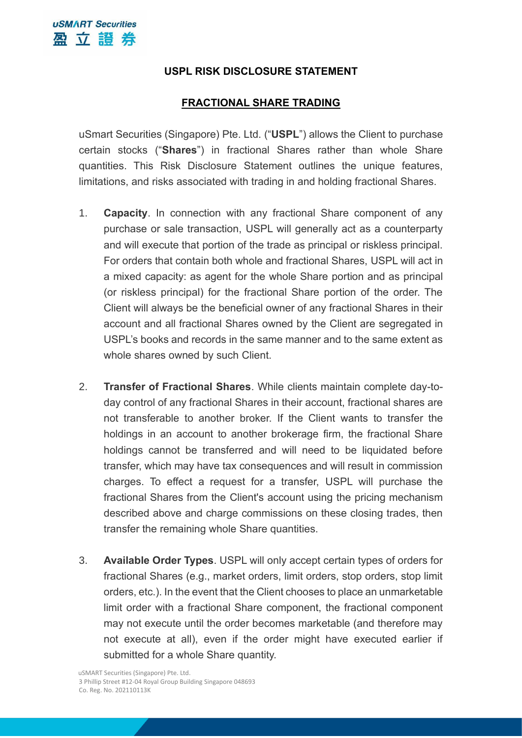## **USPL RISK DISCLOSURE STATEMENT**

## **FRACTIONAL SHARE TRADING**

uSmart Securities (Singapore) Pte. Ltd. ("**USPL**") allows the Client to purchase certain stocks ("**Shares**") in fractional Shares rather than whole Share quantities. This Risk Disclosure Statement outlines the unique features, limitations, and risks associated with trading in and holding fractional Shares.

- 1. **Capacity**. In connection with any fractional Share component of any purchase or sale transaction, USPL will generally act as a counterparty and will execute that portion of the trade as principal or riskless principal. For orders that contain both whole and fractional Shares, USPL will act in a mixed capacity: as agent for the whole Share portion and as principal (or riskless principal) for the fractional Share portion of the order. The Client will always be the beneficial owner of any fractional Shares in their account and all fractional Shares owned by the Client are segregated in USPL's books and records in the same manner and to the same extent as whole shares owned by such Client.
- 2. **Transfer of Fractional Shares**. While clients maintain complete day-today control of any fractional Shares in their account, fractional shares are not transferable to another broker. If the Client wants to transfer the holdings in an account to another brokerage firm, the fractional Share holdings cannot be transferred and will need to be liquidated before transfer, which may have tax consequences and will result in commission charges. To effect a request for a transfer, USPL will purchase the fractional Shares from the Client's account using the pricing mechanism described above and charge commissions on these closing trades, then transfer the remaining whole Share quantities.
- 3. **Available Order Types**. USPL will only accept certain types of orders for fractional Shares (e.g., market orders, limit orders, stop orders, stop limit orders, etc.). In the event that the Client chooses to place an unmarketable limit order with a fractional Share component, the fractional component may not execute until the order becomes marketable (and therefore may not execute at all), even if the order might have executed earlier if submitted for a whole Share quantity.